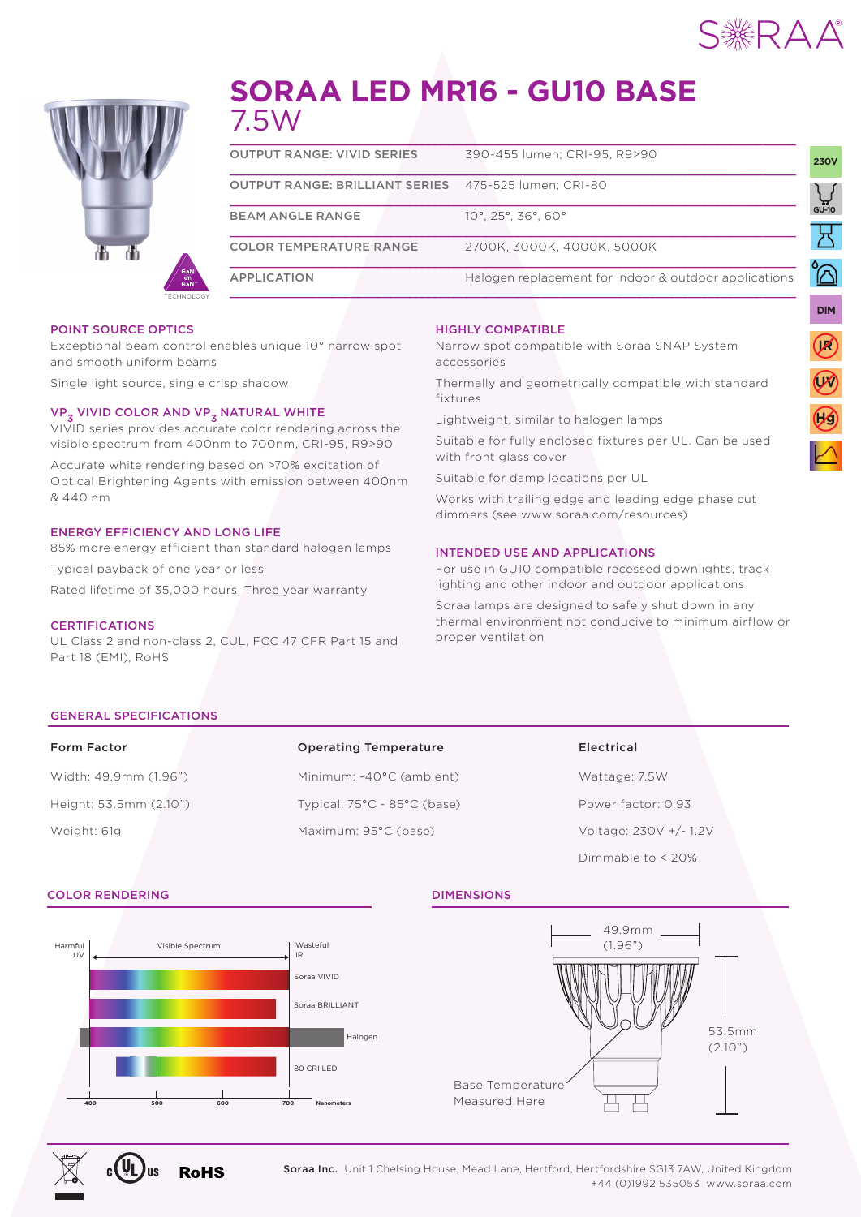

UNIVERSAL

**DIM**

**IR**

**UV**

UNIVERSAL



# **SORAA LED MR16 - GU10 BASE** 7.5W

| <b>OUTPUT RANGE: VIVID SERIES</b>                           | 390-455 Jumen: CRI-95, R9>90                          | <b>230V</b> |
|-------------------------------------------------------------|-------------------------------------------------------|-------------|
| <b>OUTPUT RANGE: BRILLIANT SERIES</b> 475-525 lumen: CRI-80 |                                                       |             |
| <b>BEAM ANGLE RANGE</b>                                     | $10^{\circ}$ , 25°, 36°, 60°                          | سي<br>10-Jo |
| <b>COLOR TEMPERATURE RANGE</b>                              | 2700K. 3000K. 4000K. 5000K                            |             |
| <b>APPLICATION</b>                                          | Halogen replacement for indoor & outdoor applications |             |
|                                                             |                                                       |             |

#### POINT SOURCE OPTICS

Exceptional beam control enables unique 10° narrow spot and smooth uniform beams

Single light source, single crisp shadow

# VP<sub>3</sub> VIVID COLOR AND VP<sub>3</sub> NATURAL WHITE

VIVID series provides accurate color rendering across the visible spectrum from 400nm to 700nm, CRI-95, R9>90

Accurate white rendering based on >70% excitation of Optical Brightening Agents with emission between 400nm & 440 nm

### ENERGY EFFICIENCY AND LONG LIFE

85% more energy efficient than standard halogen lamps Typical payback of one year or less Rated lifetime of 35,000 hours. Three year warranty

#### **CERTIFICATIONS**

UL Class 2 and non-class 2, CUL, FCC 47 CFR Part 15 and Part 18 (EMI), RoHS

#### HIGHLY COMPATIBLE

Narrow spot compatible with Soraa SNAP System accessories

Thermally and geometrically compatible with standard fixtures

Lightweight, similar to halogen lamps

Suitable for fully enclosed fixtures per UL. Can be used with front glass cover

Suitable for damp locations per UL

Works with trailing edge and leading edge phase cut dimmers (see www.soraa.com/resources)

#### INTENDED USE AND APPLICATIONS

For use in GU10 compatible recessed downlights, track lighting and other indoor and outdoor applications

Soraa lamps are designed to safely shut down in any thermal environment not conducive to minimum airflow or proper ventilation

#### GENERAL SPECIFICATIONS

| <b>Form Factor</b>     | <b>Operating Temperature</b>                    | Electrical             |
|------------------------|-------------------------------------------------|------------------------|
| Width: 49.9mm (1.96")  | Minimum: -40°C (ambient)                        | Wattage: 7.5W          |
| Height: 53.5mm (2.10") | Typical: $75^{\circ}$ C - $85^{\circ}$ C (base) | Power factor: 0.93     |
| Weight: 61g            | Maximum: 95°C (base)                            | Voltage: 230V +/- 1.2V |

#### COLOR RENDERING DIMENSIONS





Dimmable to < 20%





Soraa Inc. Unit 1 Chelsing House, Mead Lane, Hertford, Hertfordshire SG13 7AW, United Kingdom +44 (0)1992 535053 www.soraa.com